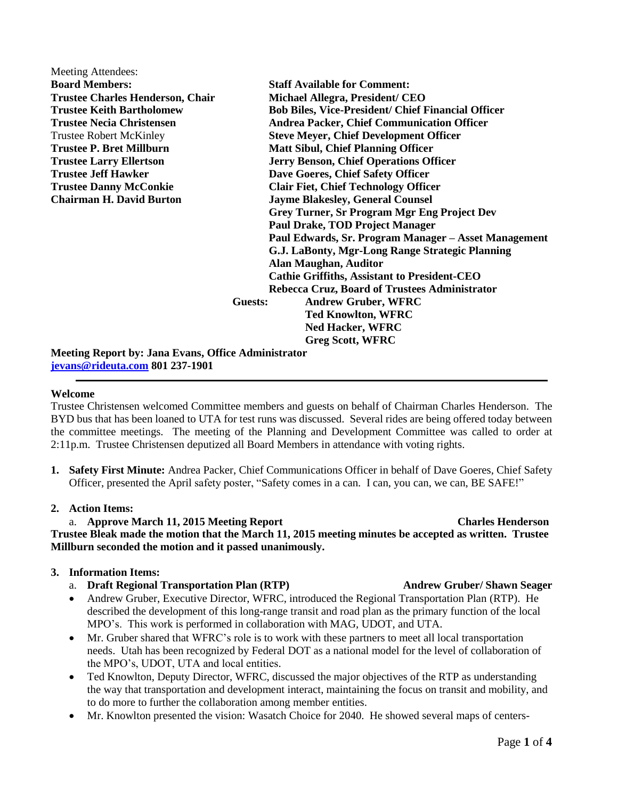| Meeting Attendees:                                         |                                           |                                                           |  |
|------------------------------------------------------------|-------------------------------------------|-----------------------------------------------------------|--|
| <b>Board Members:</b>                                      |                                           | <b>Staff Available for Comment:</b>                       |  |
| <b>Trustee Charles Henderson, Chair</b>                    |                                           | Michael Allegra, President/ CEO                           |  |
| <b>Trustee Keith Bartholomew</b>                           |                                           | <b>Bob Biles, Vice-President/ Chief Financial Officer</b> |  |
| <b>Trustee Necia Christensen</b>                           |                                           | <b>Andrea Packer, Chief Communication Officer</b>         |  |
| <b>Trustee Robert McKinley</b>                             |                                           | <b>Steve Meyer, Chief Development Officer</b>             |  |
| <b>Trustee P. Bret Millburn</b>                            | <b>Matt Sibul, Chief Planning Officer</b> |                                                           |  |
| <b>Trustee Larry Ellertson</b>                             |                                           | <b>Jerry Benson, Chief Operations Officer</b>             |  |
| <b>Trustee Jeff Hawker</b>                                 |                                           | Dave Goeres, Chief Safety Officer                         |  |
| <b>Trustee Danny McConkie</b>                              |                                           | <b>Clair Fiet, Chief Technology Officer</b>               |  |
| <b>Chairman H. David Burton</b>                            |                                           | <b>Jayme Blakesley, General Counsel</b>                   |  |
|                                                            |                                           | <b>Grey Turner, Sr Program Mgr Eng Project Dev</b>        |  |
|                                                            |                                           | <b>Paul Drake, TOD Project Manager</b>                    |  |
|                                                            |                                           | Paul Edwards, Sr. Program Manager - Asset Management      |  |
|                                                            |                                           | G.J. LaBonty, Mgr-Long Range Strategic Planning           |  |
|                                                            |                                           | <b>Alan Maughan, Auditor</b>                              |  |
|                                                            |                                           | <b>Cathie Griffiths, Assistant to President-CEO</b>       |  |
|                                                            |                                           | Rebecca Cruz, Board of Trustees Administrator             |  |
|                                                            | Guests:                                   | <b>Andrew Gruber, WFRC</b>                                |  |
|                                                            |                                           | <b>Ted Knowlton, WFRC</b>                                 |  |
|                                                            |                                           | <b>Ned Hacker, WFRC</b>                                   |  |
|                                                            |                                           | <b>Greg Scott, WFRC</b>                                   |  |
| <b>Meeting Report by: Jana Evans, Office Administrator</b> |                                           |                                                           |  |
| jevans@rideuta.com 801 237-1901                            |                                           |                                                           |  |

# **Welcome**

Trustee Christensen welcomed Committee members and guests on behalf of Chairman Charles Henderson. The BYD bus that has been loaned to UTA for test runs was discussed. Several rides are being offered today between the committee meetings. The meeting of the Planning and Development Committee was called to order at 2:11p.m. Trustee Christensen deputized all Board Members in attendance with voting rights.

**1. Safety First Minute:** Andrea Packer, Chief Communications Officer in behalf of Dave Goeres, Chief Safety Officer, presented the April safety poster, "Safety comes in a can. I can, you can, we can, BE SAFE!"

### **2. Action Items:**

# a. **Approve March 11, 2015 Meeting Report Charles Henderson**

# **Trustee Bleak made the motion that the March 11, 2015 meeting minutes be accepted as written. Trustee Millburn seconded the motion and it passed unanimously.**

# **3. Information Items:**

- a. **Draft Regional Transportation Plan (RTP)** Andrew Gruber/ Shawn Seager
- Andrew Gruber, Executive Director, WFRC, introduced the Regional Transportation Plan (RTP). He described the development of this long-range transit and road plan as the primary function of the local MPO's. This work is performed in collaboration with MAG, UDOT, and UTA.
- Mr. Gruber shared that WFRC's role is to work with these partners to meet all local transportation needs. Utah has been recognized by Federal DOT as a national model for the level of collaboration of the MPO's, UDOT, UTA and local entities.
- Ted Knowlton, Deputy Director, WFRC, discussed the major objectives of the RTP as understanding the way that transportation and development interact, maintaining the focus on transit and mobility, and to do more to further the collaboration among member entities.
- Mr. Knowlton presented the vision: Wasatch Choice for 2040. He showed several maps of centers-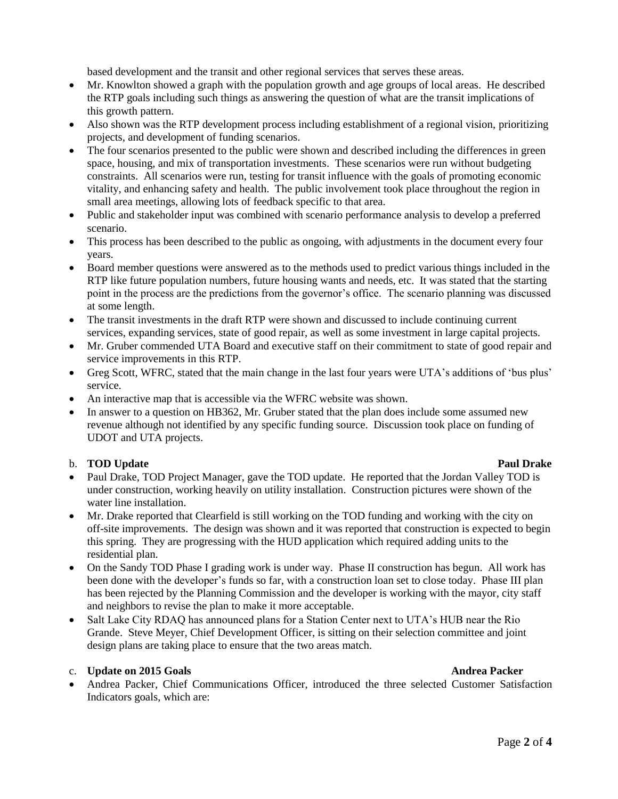based development and the transit and other regional services that serves these areas.

- Mr. Knowlton showed a graph with the population growth and age groups of local areas. He described the RTP goals including such things as answering the question of what are the transit implications of this growth pattern.
- Also shown was the RTP development process including establishment of a regional vision, prioritizing projects, and development of funding scenarios.
- The four scenarios presented to the public were shown and described including the differences in green space, housing, and mix of transportation investments. These scenarios were run without budgeting constraints. All scenarios were run, testing for transit influence with the goals of promoting economic vitality, and enhancing safety and health. The public involvement took place throughout the region in small area meetings, allowing lots of feedback specific to that area.
- Public and stakeholder input was combined with scenario performance analysis to develop a preferred scenario.
- This process has been described to the public as ongoing, with adjustments in the document every four years.
- Board member questions were answered as to the methods used to predict various things included in the RTP like future population numbers, future housing wants and needs, etc. It was stated that the starting point in the process are the predictions from the governor's office. The scenario planning was discussed at some length.
- The transit investments in the draft RTP were shown and discussed to include continuing current services, expanding services, state of good repair, as well as some investment in large capital projects.
- Mr. Gruber commended UTA Board and executive staff on their commitment to state of good repair and service improvements in this RTP.
- Greg Scott, WFRC, stated that the main change in the last four years were UTA's additions of 'bus plus' service.
- An interactive map that is accessible via the WFRC website was shown.
- In answer to a question on HB362, Mr. Gruber stated that the plan does include some assumed new revenue although not identified by any specific funding source. Discussion took place on funding of UDOT and UTA projects.

### b. **TOD** Update **Paul Drake** Paul Drake

- Paul Drake, TOD Project Manager, gave the TOD update. He reported that the Jordan Valley TOD is under construction, working heavily on utility installation. Construction pictures were shown of the water line installation.
- Mr. Drake reported that Clearfield is still working on the TOD funding and working with the city on off-site improvements. The design was shown and it was reported that construction is expected to begin this spring. They are progressing with the HUD application which required adding units to the residential plan.
- On the Sandy TOD Phase I grading work is under way. Phase II construction has begun. All work has been done with the developer's funds so far, with a construction loan set to close today. Phase III plan has been rejected by the Planning Commission and the developer is working with the mayor, city staff and neighbors to revise the plan to make it more acceptable.
- Salt Lake City RDAQ has announced plans for a Station Center next to UTA's HUB near the Rio Grande. Steve Meyer, Chief Development Officer, is sitting on their selection committee and joint design plans are taking place to ensure that the two areas match.

# c. **Update** on 2015 Goals **Andrea Packer**

 Andrea Packer, Chief Communications Officer, introduced the three selected Customer Satisfaction Indicators goals, which are: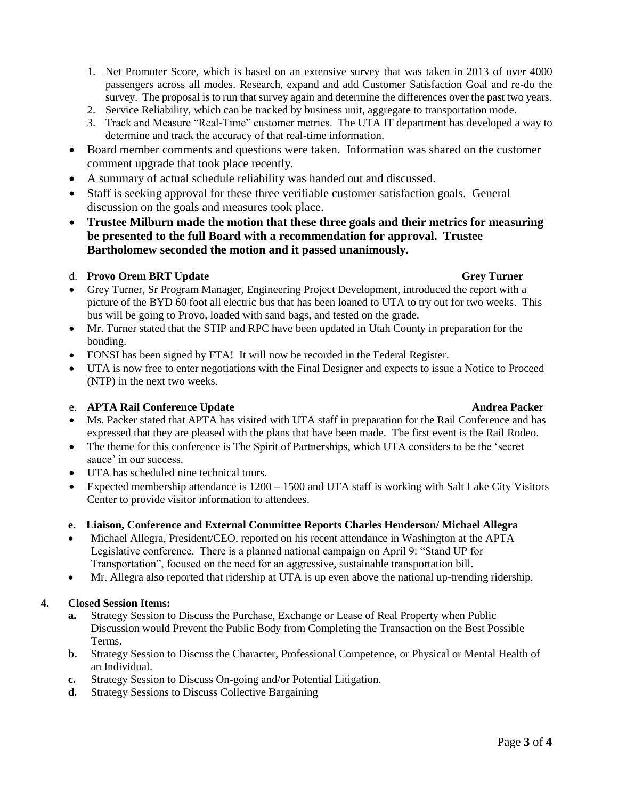- 1. Net Promoter Score, which is based on an extensive survey that was taken in 2013 of over 4000 passengers across all modes. Research, expand and add Customer Satisfaction Goal and re-do the survey. The proposal is to run that survey again and determine the differences over the past two years.
- 2. Service Reliability, which can be tracked by business unit, aggregate to transportation mode.
- 3. Track and Measure "Real-Time" customer metrics. The UTA IT department has developed a way to determine and track the accuracy of that real-time information.
- Board member comments and questions were taken. Information was shared on the customer comment upgrade that took place recently.
- A summary of actual schedule reliability was handed out and discussed.
- Staff is seeking approval for these three verifiable customer satisfaction goals. General discussion on the goals and measures took place.
- **Trustee Milburn made the motion that these three goals and their metrics for measuring be presented to the full Board with a recommendation for approval. Trustee Bartholomew seconded the motion and it passed unanimously.**

### d. **Provo Orem BRT Update Grey Turner**

- Grey Turner, Sr Program Manager, Engineering Project Development, introduced the report with a picture of the BYD 60 foot all electric bus that has been loaned to UTA to try out for two weeks. This bus will be going to Provo, loaded with sand bags, and tested on the grade.
- Mr. Turner stated that the STIP and RPC have been updated in Utah County in preparation for the bonding.
- FONSI has been signed by FTA! It will now be recorded in the Federal Register.
- UTA is now free to enter negotiations with the Final Designer and expects to issue a Notice to Proceed (NTP) in the next two weeks.

# e. **APTA Rail Conference Update** Andrea Packer **Andrea Packer**

- Ms. Packer stated that APTA has visited with UTA staff in preparation for the Rail Conference and has expressed that they are pleased with the plans that have been made. The first event is the Rail Rodeo.
- The theme for this conference is The Spirit of Partnerships, which UTA considers to be the 'secret sauce' in our success.
- UTA has scheduled nine technical tours.
- Expected membership attendance is 1200 1500 and UTA staff is working with Salt Lake City Visitors Center to provide visitor information to attendees.

### **e. Liaison, Conference and External Committee Reports Charles Henderson/ Michael Allegra**

- Michael Allegra, President/CEO, reported on his recent attendance in Washington at the APTA Legislative conference. There is a planned national campaign on April 9: "Stand UP for Transportation", focused on the need for an aggressive, sustainable transportation bill.
- Mr. Allegra also reported that ridership at UTA is up even above the national up-trending ridership.

### **4. Closed Session Items:**

- **a.** Strategy Session to Discuss the Purchase, Exchange or Lease of Real Property when Public Discussion would Prevent the Public Body from Completing the Transaction on the Best Possible Terms.
- **b.** Strategy Session to Discuss the Character, Professional Competence, or Physical or Mental Health of an Individual.
- **c.** Strategy Session to Discuss On-going and/or Potential Litigation.
- **d.** Strategy Sessions to Discuss Collective Bargaining